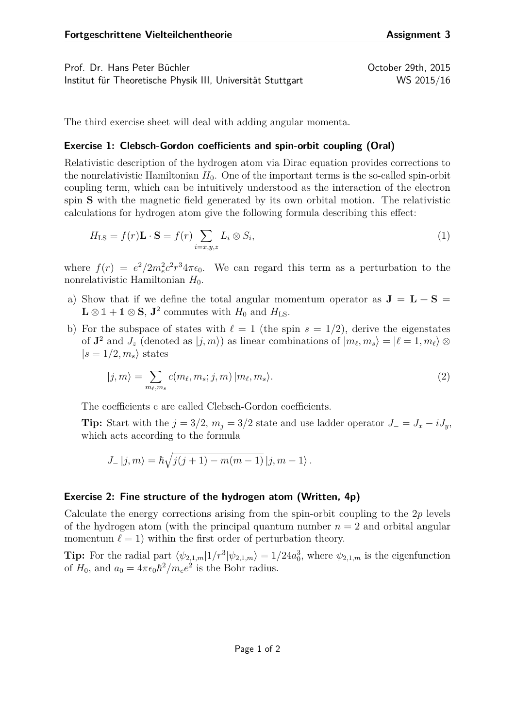Prof. Dr. Hans Peter Büchler Christian Australian Corp. 2015 Institut für Theoretische Physik III, Universität Stuttgart WS 2015/16

The third exercise sheet will deal with adding angular momenta.

## **Exercise 1: Clebsch-Gordon coefficients and spin-orbit coupling (Oral)**

Relativistic description of the hydrogen atom via Dirac equation provides corrections to the nonrelativistic Hamiltonian  $H_0$ . One of the important terms is the so-called spin-orbit coupling term, which can be intuitively understood as the interaction of the electron spin **S** with the magnetic field generated by its own orbital motion. The relativistic calculations for hydrogen atom give the following formula describing this effect:

$$
H_{\text{LS}} = f(r)\mathbf{L} \cdot \mathbf{S} = f(r) \sum_{i=x,y,z} L_i \otimes S_i,
$$
\n(1)

where  $f(r) = e^2/2m_e^2c^2r^34\pi\epsilon_0$ . We can regard this term as a perturbation to the nonrelativistic Hamiltonian  $H_0$ .

- a) Show that if we define the total angular momentum operator as  $J = L + S$  $\mathbf{L} \otimes \mathbb{1} + \mathbb{1} \otimes \mathbf{S}$ ,  $\mathbf{J}^2$  commutes with  $H_0$  and  $H_{\text{LS}}$ .
- b) For the subspace of states with  $\ell = 1$  (the spin  $s = 1/2$ ), derive the eigenstates of  $\mathbf{J}^2$  and  $J_z$  (denoted as  $|j, m\rangle$ ) as linear combinations of  $|m_\ell, m_s\rangle = |\ell = 1, m_\ell\rangle \otimes$  $|s = 1/2, m_s\rangle$  states

$$
|j,m\rangle = \sum_{m_{\ell},m_{s}} c(m_{\ell},m_{s};j,m) |m_{\ell},m_{s}\rangle.
$$
 (2)

The coefficients c are called Clebsch-Gordon coefficients.

**Tip:** Start with the  $j = 3/2$ ,  $m_j = 3/2$  state and use ladder operator  $J = J_x - iJ_y$ , which acts according to the formula

$$
J_{-} |j,m\rangle = \hbar \sqrt{j(j+1) - m(m-1)} |j,m-1\rangle.
$$

## **Exercise 2: Fine structure of the hydrogen atom (Written, 4p)**

Calculate the energy corrections arising from the spin-orbit coupling to the 2*p* levels of the hydrogen atom (with the principal quantum number  $n = 2$  and orbital angular momentum  $\ell = 1$ ) within the first order of perturbation theory.

**Tip:** For the radial part  $\langle \psi_{2,1,m} | 1/r^3 | \psi_{2,1,m} \rangle = 1/24a_0^3$ , where  $\psi_{2,1,m}$  is the eigenfunction of  $H_0$ , and  $a_0 = 4\pi\epsilon_0\hbar^2/m_e e^2$  is the Bohr radius.